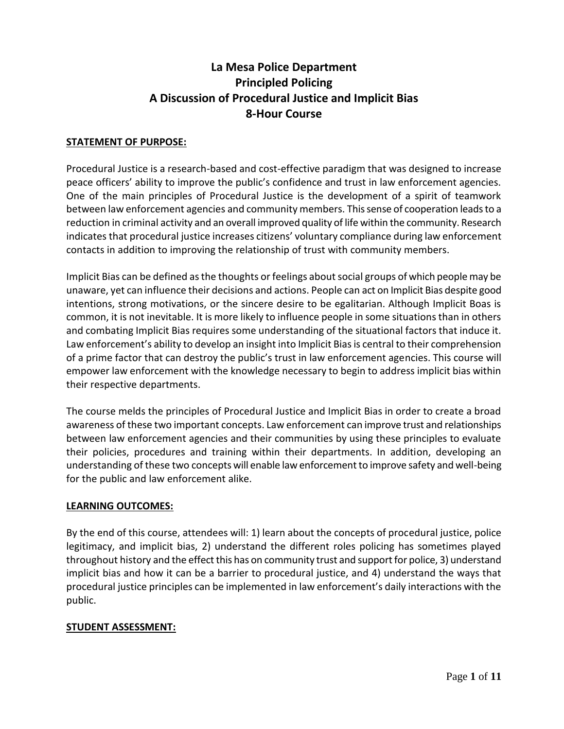# **La Mesa Police Department Principled Policing A Discussion of Procedural Justice and Implicit Bias 8-Hour Course**

### **STATEMENT OF PURPOSE:**

Procedural Justice is a research-based and cost-effective paradigm that was designed to increase peace officers' ability to improve the public's confidence and trust in law enforcement agencies. One of the main principles of Procedural Justice is the development of a spirit of teamwork between law enforcement agencies and community members. This sense of cooperation leads to a reduction in criminal activity and an overall improved quality of life within the community. Research indicates that procedural justice increases citizens' voluntary compliance during law enforcement contacts in addition to improving the relationship of trust with community members.

Implicit Bias can be defined as the thoughts or feelings about social groups of which people may be unaware, yet can influence their decisions and actions. People can act on Implicit Bias despite good intentions, strong motivations, or the sincere desire to be egalitarian. Although Implicit Boas is common, it is not inevitable. It is more likely to influence people in some situations than in others and combating Implicit Bias requires some understanding of the situational factors that induce it. Law enforcement's ability to develop an insight into Implicit Bias is central to their comprehension of a prime factor that can destroy the public's trust in law enforcement agencies. This course will empower law enforcement with the knowledge necessary to begin to address implicit bias within their respective departments.

The course melds the principles of Procedural Justice and Implicit Bias in order to create a broad awareness of these two important concepts. Law enforcement can improve trust and relationships between law enforcement agencies and their communities by using these principles to evaluate their policies, procedures and training within their departments. In addition, developing an understanding of these two concepts will enable law enforcement to improve safety and well-being for the public and law enforcement alike.

### **LEARNING OUTCOMES:**

By the end of this course, attendees will: 1) learn about the concepts of procedural justice, police legitimacy, and implicit bias, 2) understand the different roles policing has sometimes played throughout history and the effect this has on community trust and support for police, 3) understand implicit bias and how it can be a barrier to procedural justice, and 4) understand the ways that procedural justice principles can be implemented in law enforcement's daily interactions with the public.

### **STUDENT ASSESSMENT:**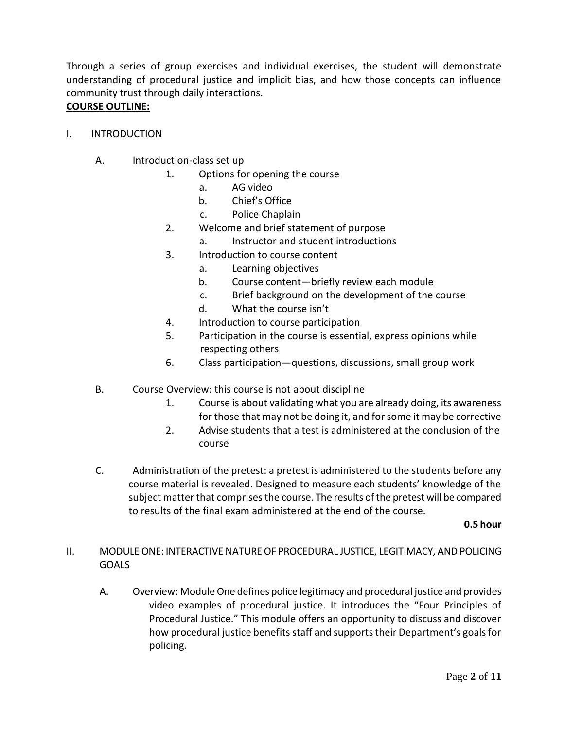Through a series of group exercises and individual exercises, the student will demonstrate understanding of procedural justice and implicit bias, and how those concepts can influence community trust through daily interactions.

### **COURSE OUTLINE:**

- I. INTRODUCTION
	- A. Introduction-class set up
		- 1. Options for opening the course
			- a. AG video
			- b. Chief's Office
			- c. Police Chaplain
		- 2. Welcome and brief statement of purpose
			- a. Instructor and student introductions
		- 3. Introduction to course content
			- a. Learning objectives
			- b. Course content—briefly review each module
			- c. Brief background on the development of the course
			- d. What the course isn't
		- 4. Introduction to course participation
		- 5. Participation in the course is essential, express opinions while respecting others
		- 6. Class participation—questions, discussions, small group work
	- B. Course Overview: this course is not about discipline
		- 1. Course is about validating what you are already doing, its awareness for those that may not be doing it, and for some it may be corrective
		- 2. Advise students that a test is administered at the conclusion of the course
	- C. Administration of the pretest: a pretest is administered to the students before any course material is revealed. Designed to measure each students' knowledge of the subject matter that comprises the course. The results of the pretest will be compared to results of the final exam administered at the end of the course.

**0.5 hour**

### II. MODULE ONE: INTERACTIVE NATURE OF PROCEDURAL JUSTICE, LEGITIMACY, AND POLICING **GOALS**

A. Overview: Module One defines police legitimacy and procedural justice and provides video examples of procedural justice. It introduces the "Four Principles of Procedural Justice." This module offers an opportunity to discuss and discover how procedural justice benefits staff and supports their Department's goals for policing.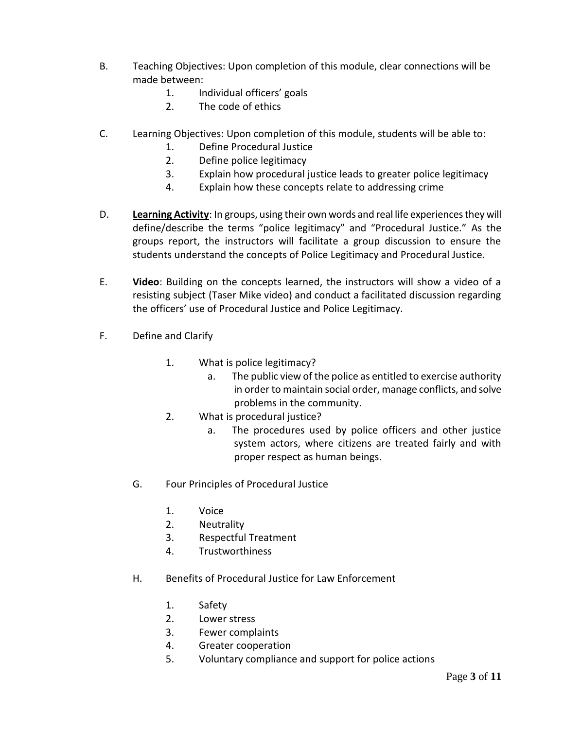- B. Teaching Objectives: Upon completion of this module, clear connections will be made between:
	- 1. Individual officers' goals
	- 2. The code of ethics
- C. Learning Objectives: Upon completion of this module, students will be able to:
	- 1. Define Procedural Justice
	- 2. Define police legitimacy
	- 3. Explain how procedural justice leads to greater police legitimacy
	- 4. Explain how these concepts relate to addressing crime
- D. **Learning Activity**: In groups, using their own words and real life experiences they will define/describe the terms "police legitimacy" and "Procedural Justice." As the groups report, the instructors will facilitate a group discussion to ensure the students understand the concepts of Police Legitimacy and Procedural Justice.
- E. **Video**: Building on the concepts learned, the instructors will show a video of a resisting subject (Taser Mike video) and conduct a facilitated discussion regarding the officers' use of Procedural Justice and Police Legitimacy.
- F. Define and Clarify
	- 1. What is police legitimacy?
		- a. The public view of the police as entitled to exercise authority in order to maintain social order, manage conflicts, and solve problems in the community.
	- 2. What is procedural justice?
		- a. The procedures used by police officers and other justice system actors, where citizens are treated fairly and with proper respect as human beings.
	- G. Four Principles of Procedural Justice
		- 1. Voice
		- 2. Neutrality
		- 3. Respectful Treatment
		- 4. Trustworthiness
	- H. Benefits of Procedural Justice for Law Enforcement
		- 1. Safety
		- 2. Lower stress
		- 3. Fewer complaints
		- 4. Greater cooperation
		- 5. Voluntary compliance and support for police actions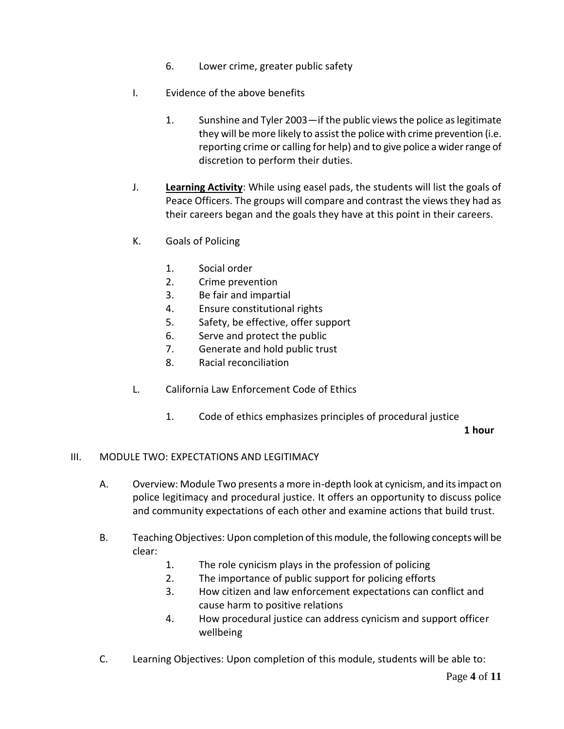- 6. Lower crime, greater public safety
- I. Evidence of the above benefits
	- 1. Sunshine and Tyler 2003—if the public views the police as legitimate they will be more likely to assist the police with crime prevention (i.e. reporting crime or calling for help) and to give police a wider range of discretion to perform their duties.
- J. **Learning Activity**: While using easel pads, the students will list the goals of Peace Officers. The groups will compare and contrast the views they had as their careers began and the goals they have at this point in their careers.
- K. Goals of Policing
	- 1. Social order
	- 2. Crime prevention
	- 3. Be fair and impartial
	- 4. Ensure constitutional rights
	- 5. Safety, be effective, offer support
	- 6. Serve and protect the public
	- 7. Generate and hold public trust
	- 8. Racial reconciliation
- L. California Law Enforcement Code of Ethics
	- 1. Code of ethics emphasizes principles of procedural justice

**1 hour**

#### III. MODULE TWO: EXPECTATIONS AND LEGITIMACY

- A. Overview: Module Two presents a more in-depth look at cynicism, and its impact on police legitimacy and procedural justice. It offers an opportunity to discuss police and community expectations of each other and examine actions that build trust.
- B. Teaching Objectives: Upon completion of this module, the following concepts will be clear:
	- 1. The role cynicism plays in the profession of policing
	- 2. The importance of public support for policing efforts
	- 3. How citizen and law enforcement expectations can conflict and cause harm to positive relations
	- 4. How procedural justice can address cynicism and support officer wellbeing
- C. Learning Objectives: Upon completion of this module, students will be able to: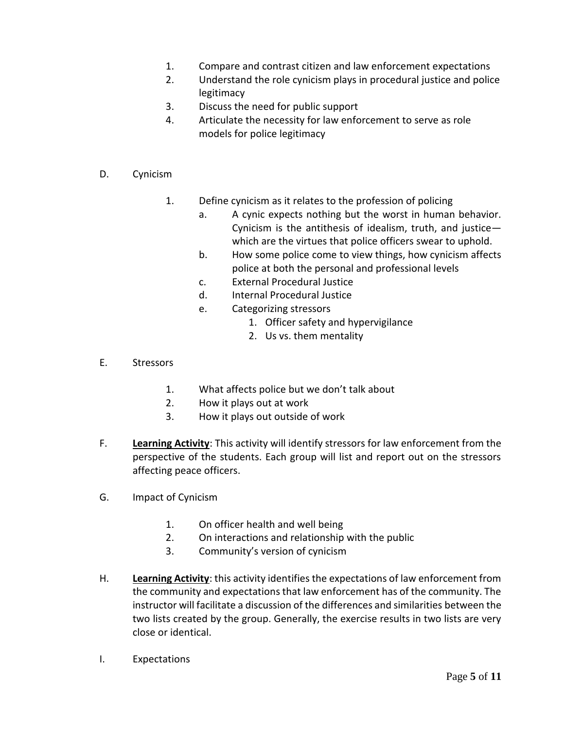- 1. Compare and contrast citizen and law enforcement expectations
- 2. Understand the role cynicism plays in procedural justice and police legitimacy
- 3. Discuss the need for public support
- 4. Articulate the necessity for law enforcement to serve as role models for police legitimacy
- D. Cynicism
	- 1. Define cynicism as it relates to the profession of policing
		- a. A cynic expects nothing but the worst in human behavior. Cynicism is the antithesis of idealism, truth, and justice which are the virtues that police officers swear to uphold.
		- b. How some police come to view things, how cynicism affects police at both the personal and professional levels
		- c. External Procedural Justice
		- d. Internal Procedural Justice
		- e. Categorizing stressors
			- 1. Officer safety and hypervigilance
			- 2. Us vs. them mentality
- E. Stressors
	- 1. What affects police but we don't talk about
	- 2. How it plays out at work
	- 3. How it plays out outside of work
- F. **Learning Activity**: This activity will identify stressors for law enforcement from the perspective of the students. Each group will list and report out on the stressors affecting peace officers.
- G. Impact of Cynicism
	- 1. On officer health and well being
	- 2. On interactions and relationship with the public
	- 3. Community's version of cynicism
- H. **Learning Activity**: this activity identifies the expectations of law enforcement from the community and expectations that law enforcement has of the community. The instructor will facilitate a discussion of the differences and similarities between the two lists created by the group. Generally, the exercise results in two lists are very close or identical.
- I. Expectations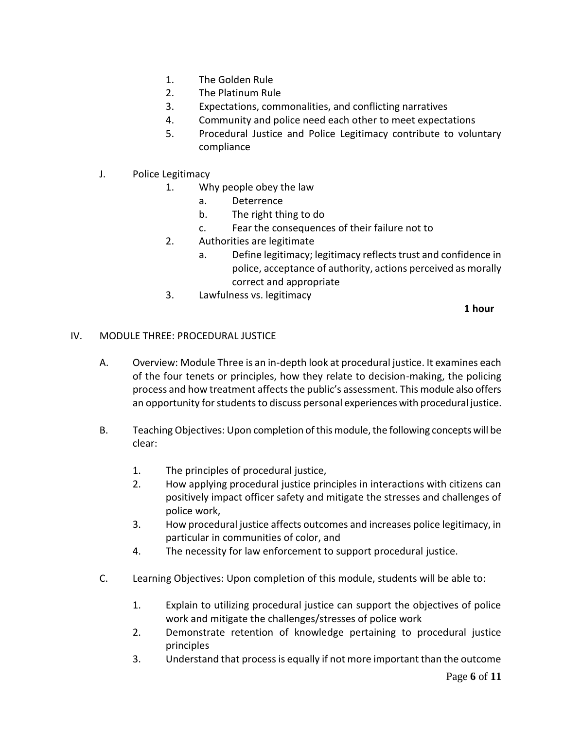- 1. The Golden Rule
- 2. The Platinum Rule
- 3. Expectations, commonalities, and conflicting narratives
- 4. Community and police need each other to meet expectations
- 5. Procedural Justice and Police Legitimacy contribute to voluntary compliance
- J. Police Legitimacy
	- 1. Why people obey the law
		- a. Deterrence
		- b. The right thing to do
		- c. Fear the consequences of their failure not to
	- 2. Authorities are legitimate
		- a. Define legitimacy; legitimacy reflects trust and confidence in police, acceptance of authority, actions perceived as morally correct and appropriate
	- 3. Lawfulness vs. legitimacy

**1 hour**

#### IV. MODULE THREE: PROCEDURAL JUSTICE

- A. Overview: Module Three is an in-depth look at procedural justice. It examines each of the four tenets or principles, how they relate to decision-making, the policing process and how treatment affects the public's assessment. This module also offers an opportunity for students to discuss personal experiences with procedural justice.
- B. Teaching Objectives: Upon completion of this module, the following concepts will be clear:
	- 1. The principles of procedural justice,
	- 2. How applying procedural justice principles in interactions with citizens can positively impact officer safety and mitigate the stresses and challenges of police work,
	- 3. How procedural justice affects outcomes and increases police legitimacy, in particular in communities of color, and
	- 4. The necessity for law enforcement to support procedural justice.
- C. Learning Objectives: Upon completion of this module, students will be able to:
	- 1. Explain to utilizing procedural justice can support the objectives of police work and mitigate the challenges/stresses of police work
	- 2. Demonstrate retention of knowledge pertaining to procedural justice principles
	- 3. Understand that process is equally if not more important than the outcome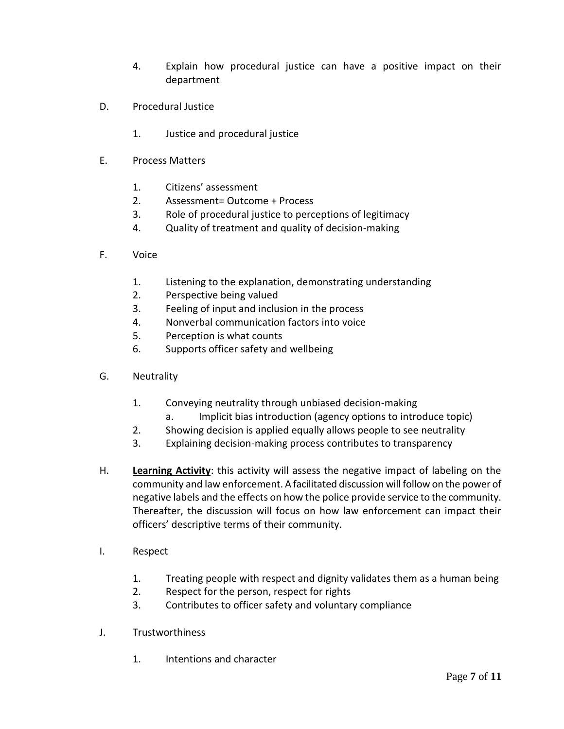- 4. Explain how procedural justice can have a positive impact on their department
- D. Procedural Justice
	- 1. Justice and procedural justice
- E. Process Matters
	- 1. Citizens' assessment
	- 2. Assessment= Outcome + Process
	- 3. Role of procedural justice to perceptions of legitimacy
	- 4. Quality of treatment and quality of decision-making
- F. Voice
	- 1. Listening to the explanation, demonstrating understanding
	- 2. Perspective being valued
	- 3. Feeling of input and inclusion in the process
	- 4. Nonverbal communication factors into voice
	- 5. Perception is what counts
	- 6. Supports officer safety and wellbeing
- G. Neutrality
	- 1. Conveying neutrality through unbiased decision-making
		- a. Implicit bias introduction (agency options to introduce topic)
	- 2. Showing decision is applied equally allows people to see neutrality
	- 3. Explaining decision-making process contributes to transparency
- H. **Learning Activity**: this activity will assess the negative impact of labeling on the community and law enforcement. A facilitated discussion will follow on the power of negative labels and the effects on how the police provide service to the community. Thereafter, the discussion will focus on how law enforcement can impact their officers' descriptive terms of their community.
- I. Respect
	- 1. Treating people with respect and dignity validates them as a human being
	- 2. Respect for the person, respect for rights
	- 3. Contributes to officer safety and voluntary compliance
- J. Trustworthiness
	- 1. Intentions and character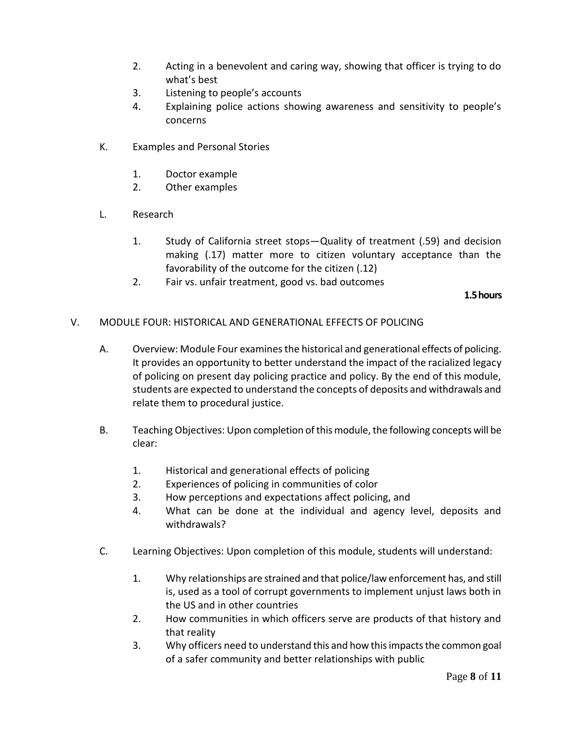- 2. Acting in a benevolent and caring way, showing that officer is trying to do what's best
- 3. Listening to people's accounts
- 4. Explaining police actions showing awareness and sensitivity to people's concerns
- K. Examples and Personal Stories
	- 1. Doctor example
	- 2. Other examples
- L. Research
	- 1. Study of California street stops—Quality of treatment (.59) and decision making (.17) matter more to citizen voluntary acceptance than the favorability of the outcome for the citizen (.12)
	- 2. Fair vs. unfair treatment, good vs. bad outcomes

#### **1.5 hours**

- V. MODULE FOUR: HISTORICAL AND GENERATIONAL EFFECTS OF POLICING
	- A. Overview: Module Four examines the historical and generational effects of policing. It provides an opportunity to better understand the impact of the racialized legacy of policing on present day policing practice and policy. By the end of this module, students are expected to understand the concepts of deposits and withdrawals and relate them to procedural justice.
	- B. Teaching Objectives: Upon completion of this module, the following concepts will be clear:
		- 1. Historical and generational effects of policing
		- 2. Experiences of policing in communities of color
		- 3. How perceptions and expectations affect policing, and
		- 4. What can be done at the individual and agency level, deposits and withdrawals?
	- C. Learning Objectives: Upon completion of this module, students will understand:
		- 1. Why relationships are strained and that police/law enforcement has, and still is, used as a tool of corrupt governments to implement unjust laws both in the US and in other countries
		- 2. How communities in which officers serve are products of that history and that reality
		- 3. Why officers need to understand this and how this impacts the common goal of a safer community and better relationships with public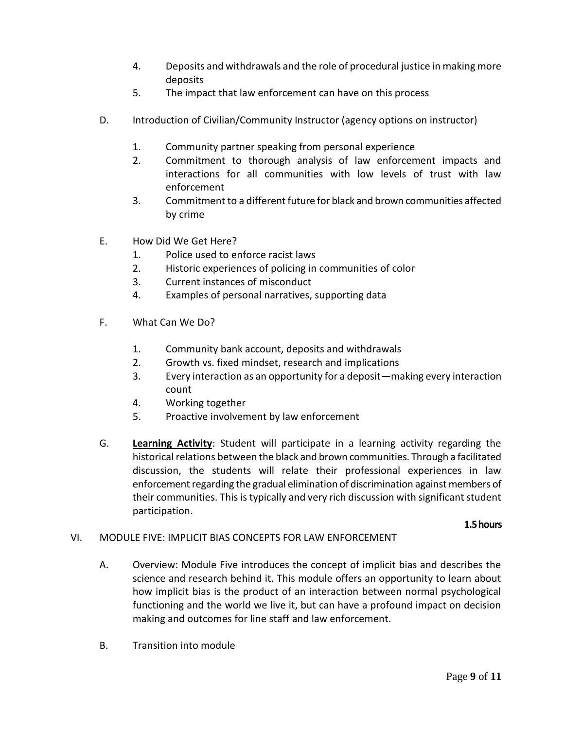- 4. Deposits and withdrawals and the role of procedural justice in making more deposits
- 5. The impact that law enforcement can have on this process
- D. Introduction of Civilian/Community Instructor (agency options on instructor)
	- 1. Community partner speaking from personal experience
	- 2. Commitment to thorough analysis of law enforcement impacts and interactions for all communities with low levels of trust with law enforcement
	- 3. Commitment to a different future for black and brown communities affected by crime
- E. How Did We Get Here?
	- 1. Police used to enforce racist laws
	- 2. Historic experiences of policing in communities of color
	- 3. Current instances of misconduct
	- 4. Examples of personal narratives, supporting data
- F. What Can We Do?
	- 1. Community bank account, deposits and withdrawals
	- 2. Growth vs. fixed mindset, research and implications
	- 3. Every interaction as an opportunity for a deposit—making every interaction count
	- 4. Working together
	- 5. Proactive involvement by law enforcement
- G. **Learning Activity**: Student will participate in a learning activity regarding the historical relations between the black and brown communities. Through a facilitated discussion, the students will relate their professional experiences in law enforcement regarding the gradual elimination of discrimination against members of their communities. This is typically and very rich discussion with significant student participation.

#### **1.5 hours**

### VI. MODULE FIVE: IMPLICIT BIAS CONCEPTS FOR LAW ENFORCEMENT

- A. Overview: Module Five introduces the concept of implicit bias and describes the science and research behind it. This module offers an opportunity to learn about how implicit bias is the product of an interaction between normal psychological functioning and the world we live it, but can have a profound impact on decision making and outcomes for line staff and law enforcement.
- B. Transition into module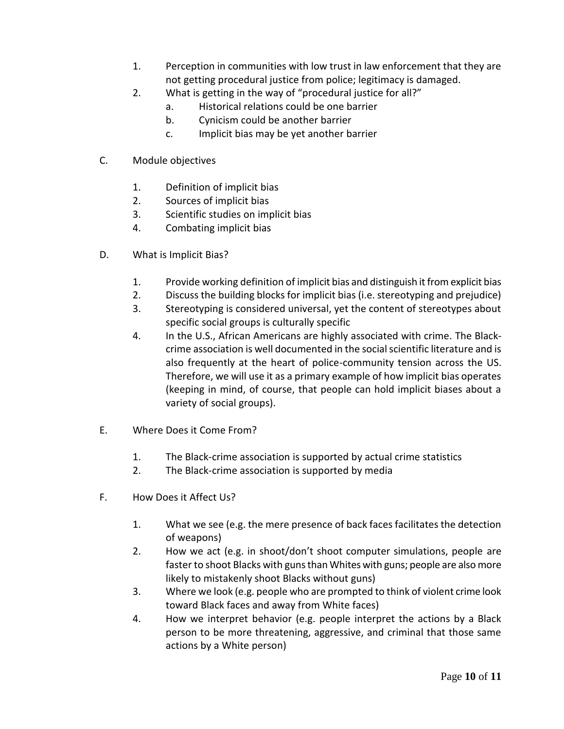- 1. Perception in communities with low trust in law enforcement that they are not getting procedural justice from police; legitimacy is damaged.
- 2. What is getting in the way of "procedural justice for all?"
	- a. Historical relations could be one barrier
	- b. Cynicism could be another barrier
	- c. Implicit bias may be yet another barrier
- C. Module objectives
	- 1. Definition of implicit bias
	- 2. Sources of implicit bias
	- 3. Scientific studies on implicit bias
	- 4. Combating implicit bias
- D. What is Implicit Bias?
	- 1. Provide working definition of implicit bias and distinguish it from explicit bias
	- 2. Discuss the building blocks for implicit bias (i.e. stereotyping and prejudice)
	- 3. Stereotyping is considered universal, yet the content of stereotypes about specific social groups is culturally specific
	- 4. In the U.S., African Americans are highly associated with crime. The Blackcrime association is well documented in the social scientific literature and is also frequently at the heart of police-community tension across the US. Therefore, we will use it as a primary example of how implicit bias operates (keeping in mind, of course, that people can hold implicit biases about a variety of social groups).
- E. Where Does it Come From?
	- 1. The Black-crime association is supported by actual crime statistics
	- 2. The Black-crime association is supported by media
- F. How Does it Affect Us?
	- 1. What we see (e.g. the mere presence of back faces facilitates the detection of weapons)
	- 2. How we act (e.g. in shoot/don't shoot computer simulations, people are faster to shoot Blacks with guns than Whites with guns; people are also more likely to mistakenly shoot Blacks without guns)
	- 3. Where we look (e.g. people who are prompted to think of violent crime look toward Black faces and away from White faces)
	- 4. How we interpret behavior (e.g. people interpret the actions by a Black person to be more threatening, aggressive, and criminal that those same actions by a White person)